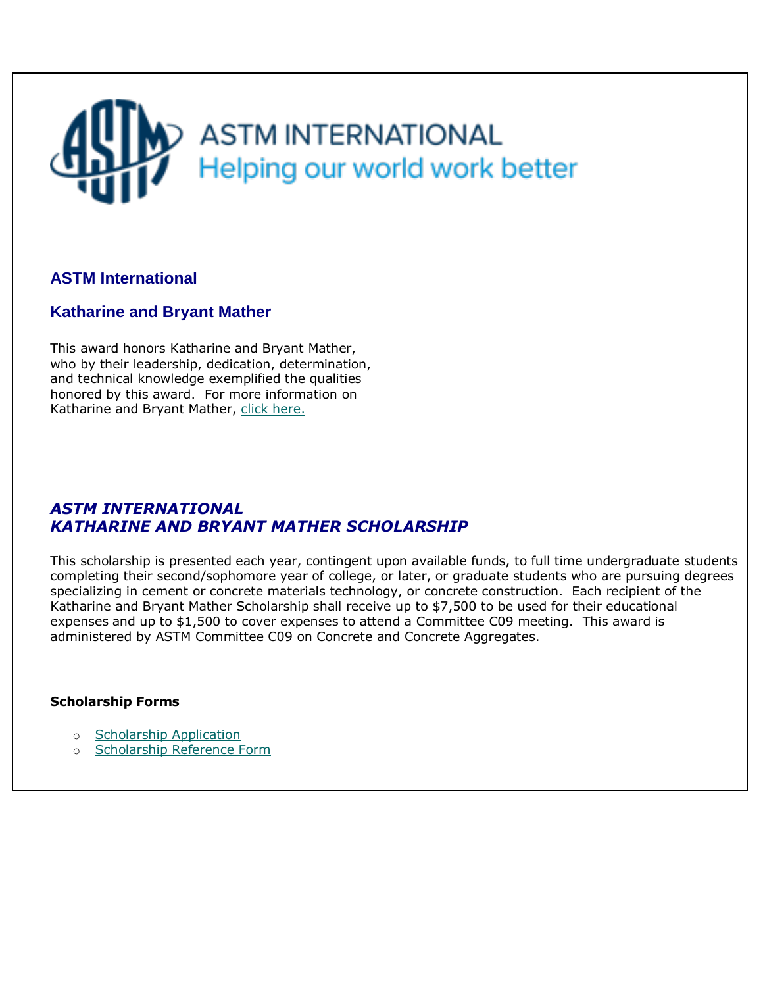# **ASTM INTERNATIONAL** Helping our world work better

## **ASTM International**

### **Katharine and Bryant Mather**

This award honors Katharine and Bryant Mather, who by their leadership, dedication, determination, and technical knowledge exemplified the qualities honored by this award. For more information on Katharine and Bryant Mather, [click here.](#page-1-0)

### *ASTM INTERNATIONAL KATHARINE AND BRYANT MATHER SCHOLARSHIP*

This scholarship is presented each year, contingent upon available funds, to full time undergraduate students completing their second/sophomore year of college, or later, or graduate students who are pursuing degrees specializing in cement or concrete materials technology, or concrete construction. Each recipient of the Katharine and Bryant Mather Scholarship shall receive up to \$7,500 to be used for their educational expenses and up to \$1,500 to cover expenses to attend a Committee C09 meeting. This award is administered by ASTM Committee C09 on Concrete and Concrete Aggregates.

### **Scholarship Forms**

- o [Scholarship Application](#page-2-0)
- o [Scholarship Reference Form](#page-7-0)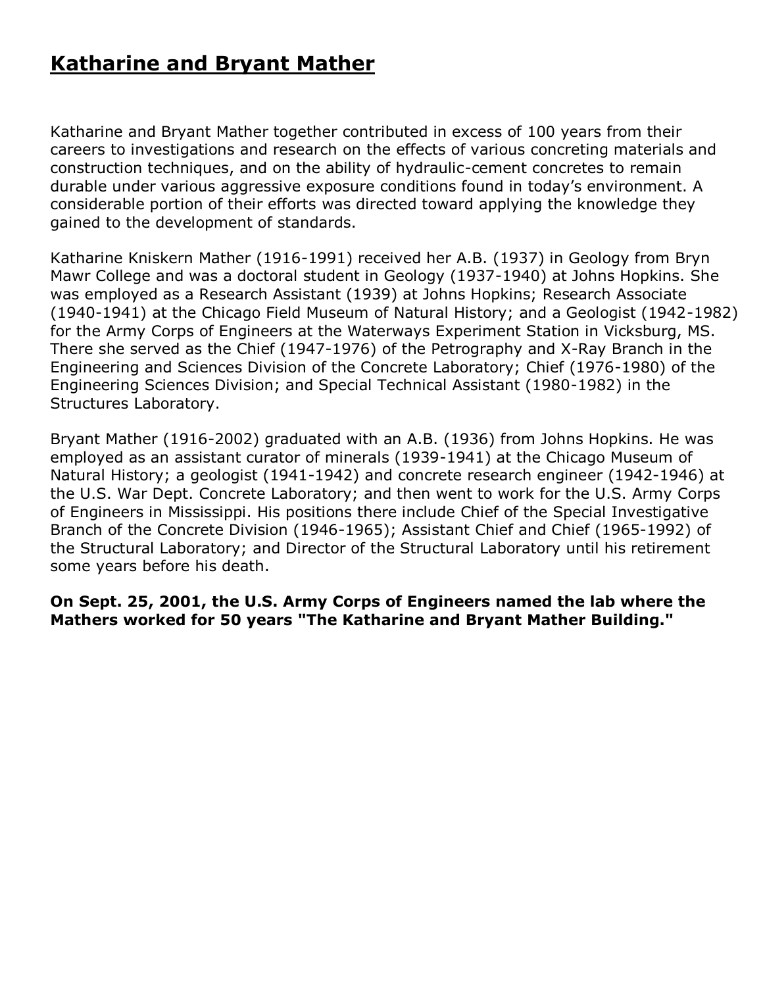## <span id="page-1-0"></span>**Katharine and Bryant Mather**

Katharine and Bryant Mather together contributed in excess of 100 years from their careers to investigations and research on the effects of various concreting materials and construction techniques, and on the ability of hydraulic-cement concretes to remain durable under various aggressive exposure conditions found in today's environment. A considerable portion of their efforts was directed toward applying the knowledge they gained to the development of standards.

Katharine Kniskern Mather (1916-1991) received her A.B. (1937) in Geology from Bryn Mawr College and was a doctoral student in Geology (1937-1940) at Johns Hopkins. She was employed as a Research Assistant (1939) at Johns Hopkins; Research Associate (1940-1941) at the Chicago Field Museum of Natural History; and a Geologist (1942-1982) for the Army Corps of Engineers at the Waterways Experiment Station in Vicksburg, MS. There she served as the Chief (1947-1976) of the Petrography and X-Ray Branch in the Engineering and Sciences Division of the Concrete Laboratory; Chief (1976-1980) of the Engineering Sciences Division; and Special Technical Assistant (1980-1982) in the Structures Laboratory.

Bryant Mather (1916-2002) graduated with an A.B. (1936) from Johns Hopkins. He was employed as an assistant curator of minerals (1939-1941) at the Chicago Museum of Natural History; a geologist (1941-1942) and concrete research engineer (1942-1946) at the U.S. War Dept. Concrete Laboratory; and then went to work for the U.S. Army Corps of Engineers in Mississippi. His positions there include Chief of the Special Investigative Branch of the Concrete Division (1946-1965); Assistant Chief and Chief (1965-1992) of the Structural Laboratory; and Director of the Structural Laboratory until his retirement some years before his death.

**On Sept. 25, 2001, the U.S. Army Corps of Engineers named the lab where the Mathers worked for 50 years "The Katharine and Bryant Mather Building."**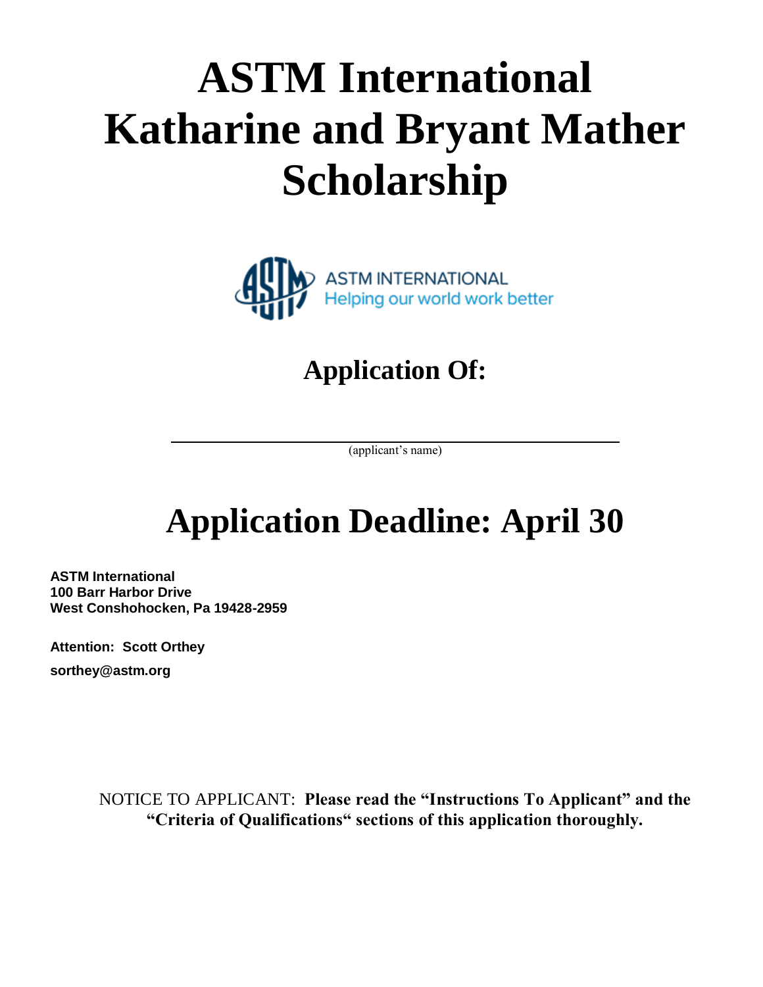# <span id="page-2-0"></span>**ASTM International Katharine and Bryant Mather Scholarship**



# **Application Of:**

(applicant's name)

# **Application Deadline: April 30**

**ASTM International 100 Barr Harbor Drive West Conshohocken, Pa 19428-2959**

**Attention: Scott Orthey sorthey@astm.org**

> NOTICE TO APPLICANT: **Please read the "Instructions To Applicant" and the "Criteria of Qualifications" sections of this application thoroughly.**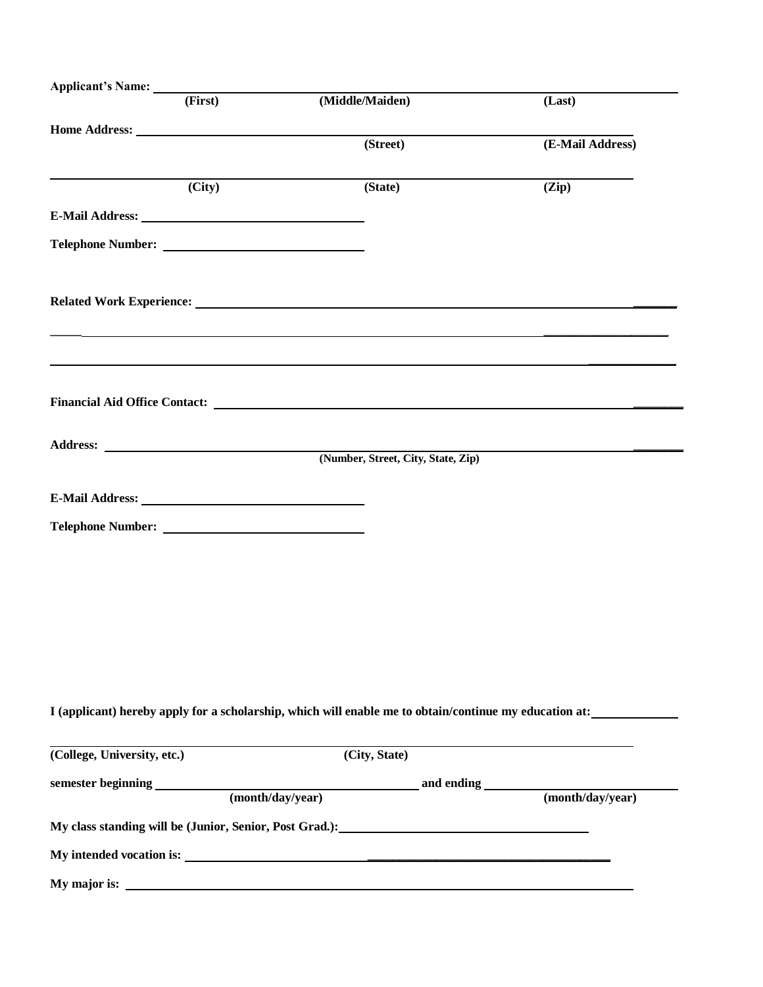|                                                                                                                                                                                                                                | (First) | (Middle/Maiden)                                                                                                                                                                                                                | (Last)           |  |
|--------------------------------------------------------------------------------------------------------------------------------------------------------------------------------------------------------------------------------|---------|--------------------------------------------------------------------------------------------------------------------------------------------------------------------------------------------------------------------------------|------------------|--|
|                                                                                                                                                                                                                                |         |                                                                                                                                                                                                                                |                  |  |
|                                                                                                                                                                                                                                |         | (Street)                                                                                                                                                                                                                       | (E-Mail Address) |  |
|                                                                                                                                                                                                                                | (City)  | (State)                                                                                                                                                                                                                        | (Zip)            |  |
| E-Mail Address: Universe of the Second Second Second Second Second Second Second Second Second Second Second Second Second Second Second Second Second Second Second Second Second Second Second Second Second Second Second S |         |                                                                                                                                                                                                                                |                  |  |
| <b>Telephone Number:</b>                                                                                                                                                                                                       |         |                                                                                                                                                                                                                                |                  |  |
|                                                                                                                                                                                                                                |         |                                                                                                                                                                                                                                |                  |  |
|                                                                                                                                                                                                                                |         | Related Work Experience: New York Capacity and Security and Security and Security and Security and Security and Security and Security and Security and Security and Security and Security and Security and Security and Securi |                  |  |
|                                                                                                                                                                                                                                |         |                                                                                                                                                                                                                                |                  |  |
|                                                                                                                                                                                                                                |         |                                                                                                                                                                                                                                |                  |  |
|                                                                                                                                                                                                                                |         |                                                                                                                                                                                                                                |                  |  |
|                                                                                                                                                                                                                                |         |                                                                                                                                                                                                                                |                  |  |
|                                                                                                                                                                                                                                |         |                                                                                                                                                                                                                                |                  |  |
|                                                                                                                                                                                                                                |         | (Number, Street, City, State, Zip)                                                                                                                                                                                             |                  |  |
|                                                                                                                                                                                                                                |         |                                                                                                                                                                                                                                |                  |  |
| E-Mail Address: New York 1988                                                                                                                                                                                                  |         |                                                                                                                                                                                                                                |                  |  |
|                                                                                                                                                                                                                                |         |                                                                                                                                                                                                                                |                  |  |
|                                                                                                                                                                                                                                |         |                                                                                                                                                                                                                                |                  |  |
|                                                                                                                                                                                                                                |         |                                                                                                                                                                                                                                |                  |  |
|                                                                                                                                                                                                                                |         |                                                                                                                                                                                                                                |                  |  |
|                                                                                                                                                                                                                                |         |                                                                                                                                                                                                                                |                  |  |
|                                                                                                                                                                                                                                |         |                                                                                                                                                                                                                                |                  |  |
|                                                                                                                                                                                                                                |         |                                                                                                                                                                                                                                |                  |  |
|                                                                                                                                                                                                                                |         |                                                                                                                                                                                                                                |                  |  |
|                                                                                                                                                                                                                                |         | I (applicant) hereby apply for a scholarship, which will enable me to obtain/continue my education at:                                                                                                                         |                  |  |
|                                                                                                                                                                                                                                |         |                                                                                                                                                                                                                                | (City, State)    |  |
|                                                                                                                                                                                                                                |         |                                                                                                                                                                                                                                |                  |  |
|                                                                                                                                                                                                                                |         |                                                                                                                                                                                                                                |                  |  |
|                                                                                                                                                                                                                                |         |                                                                                                                                                                                                                                |                  |  |
|                                                                                                                                                                                                                                |         |                                                                                                                                                                                                                                |                  |  |
| (College, University, etc.)                                                                                                                                                                                                    |         |                                                                                                                                                                                                                                |                  |  |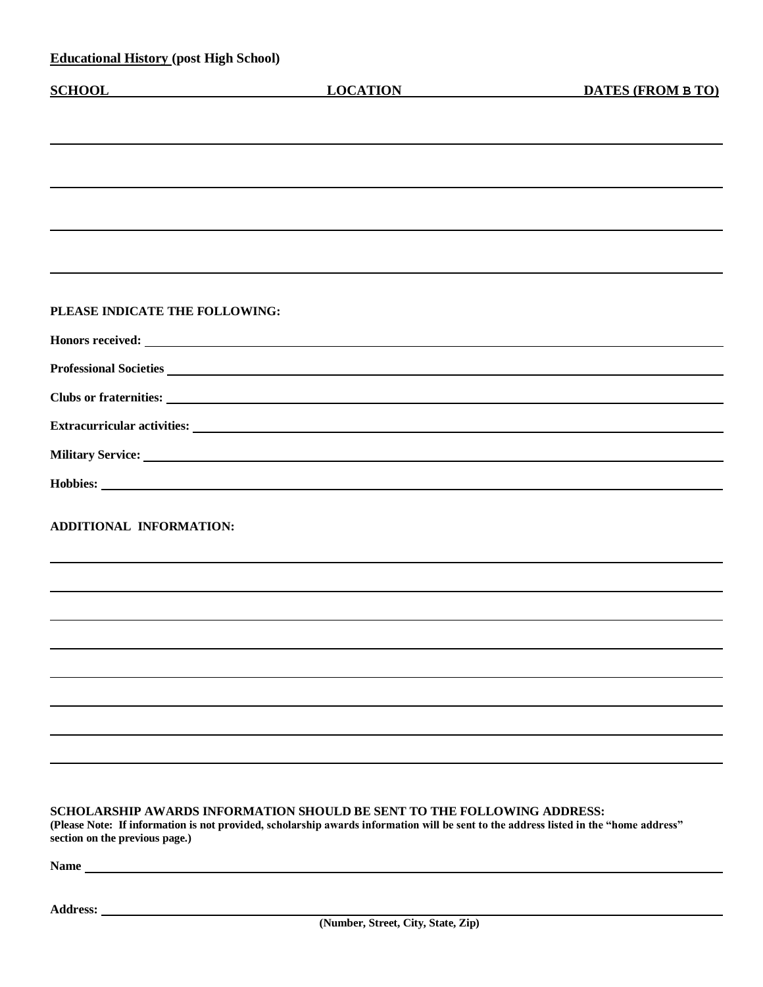| <b>Educational History (post High School)</b> |                                                                                                                                                                                                                                |                          |
|-----------------------------------------------|--------------------------------------------------------------------------------------------------------------------------------------------------------------------------------------------------------------------------------|--------------------------|
| <b>SCHOOL</b>                                 | <b>LOCATION</b>                                                                                                                                                                                                                | <b>DATES (FROM B TO)</b> |
|                                               |                                                                                                                                                                                                                                |                          |
|                                               |                                                                                                                                                                                                                                |                          |
|                                               |                                                                                                                                                                                                                                |                          |
|                                               |                                                                                                                                                                                                                                |                          |
|                                               |                                                                                                                                                                                                                                |                          |
|                                               |                                                                                                                                                                                                                                |                          |
|                                               |                                                                                                                                                                                                                                |                          |
|                                               |                                                                                                                                                                                                                                |                          |
| PLEASE INDICATE THE FOLLOWING:                |                                                                                                                                                                                                                                |                          |
|                                               | Honors received: Note that the set of the set of the set of the set of the set of the set of the set of the set of the set of the set of the set of the set of the set of the set of the set of the set of the set of the set  |                          |
|                                               | Professional Societies Latin and Societies Latin and Societies Latin and Societies Latin and Societies Latin and Societies Latin and Societies Latin and Societies Latin and Societies Latin and Societies Latin and Societies |                          |
|                                               |                                                                                                                                                                                                                                |                          |
|                                               |                                                                                                                                                                                                                                |                          |
|                                               |                                                                                                                                                                                                                                |                          |
|                                               | Hobbies: North Communication of the Communication of the Communication of the Communication of the Communication of the Communication of the Communication of the Communication of the Communication of the Communication of t |                          |
|                                               |                                                                                                                                                                                                                                |                          |
| ADDITIONAL INFORMATION:                       |                                                                                                                                                                                                                                |                          |
|                                               |                                                                                                                                                                                                                                |                          |
|                                               |                                                                                                                                                                                                                                |                          |
|                                               |                                                                                                                                                                                                                                |                          |
|                                               |                                                                                                                                                                                                                                |                          |
|                                               |                                                                                                                                                                                                                                |                          |
|                                               |                                                                                                                                                                                                                                |                          |
|                                               |                                                                                                                                                                                                                                |                          |
|                                               |                                                                                                                                                                                                                                |                          |
|                                               |                                                                                                                                                                                                                                |                          |
|                                               |                                                                                                                                                                                                                                |                          |

### **SCHOLARSHIP AWARDS INFORMATION SHOULD BE SENT TO THE FOLLOWING ADDRESS:**

**(Please Note: If information is not provided, scholarship awards information will be sent to the address listed in the "home address" section on the previous page.)**

**Name** 

**Address:**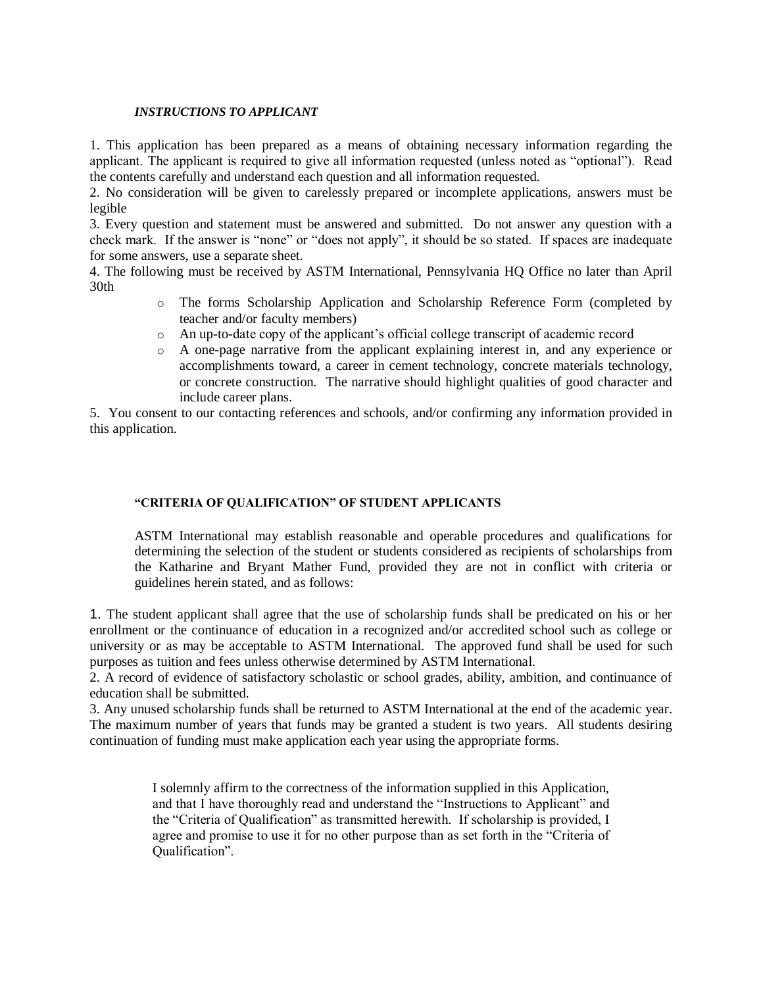#### *INSTRUCTIONS TO APPLICANT*

1. This application has been prepared as a means of obtaining necessary information regarding the applicant. The applicant is required to give all information requested (unless noted as "optional"). Read the contents carefully and understand each question and all information requested.

2. No consideration will be given to carelessly prepared or incomplete applications, answers must be legible

3. Every question and statement must be answered and submitted. Do not answer any question with a check mark. If the answer is "none" or "does not apply", it should be so stated. If spaces are inadequate for some answers, use a separate sheet.

4. The following must be received by ASTM International, Pennsylvania HQ Office no later than April 30th

- o The forms Scholarship Application and Scholarship Reference Form (completed by teacher and/or faculty members)
- o An up-to-date copy of the applicant's official college transcript of academic record
- o A one-page narrative from the applicant explaining interest in, and any experience or accomplishments toward, a career in cement technology, concrete materials technology, or concrete construction. The narrative should highlight qualities of good character and include career plans.

5. You consent to our contacting references and schools, and/or confirming any information provided in this application.

### **"CRITERIA OF QUALIFICATION" OF STUDENT APPLICANTS**

ASTM International may establish reasonable and operable procedures and qualifications for determining the selection of the student or students considered as recipients of scholarships from the Katharine and Bryant Mather Fund, provided they are not in conflict with criteria or guidelines herein stated, and as follows:

1. The student applicant shall agree that the use of scholarship funds shall be predicated on his or her enrollment or the continuance of education in a recognized and/or accredited school such as college or university or as may be acceptable to ASTM International. The approved fund shall be used for such purposes as tuition and fees unless otherwise determined by ASTM International.

2. A record of evidence of satisfactory scholastic or school grades, ability, ambition, and continuance of education shall be submitted.

3. Any unused scholarship funds shall be returned to ASTM International at the end of the academic year. The maximum number of years that funds may be granted a student is two years. All students desiring continuation of funding must make application each year using the appropriate forms.

> I solemnly affirm to the correctness of the information supplied in this Application, and that I have thoroughly read and understand the "Instructions to Applicant" and the "Criteria of Qualification" as transmitted herewith. If scholarship is provided, I agree and promise to use it for no other purpose than as set forth in the "Criteria of Qualification".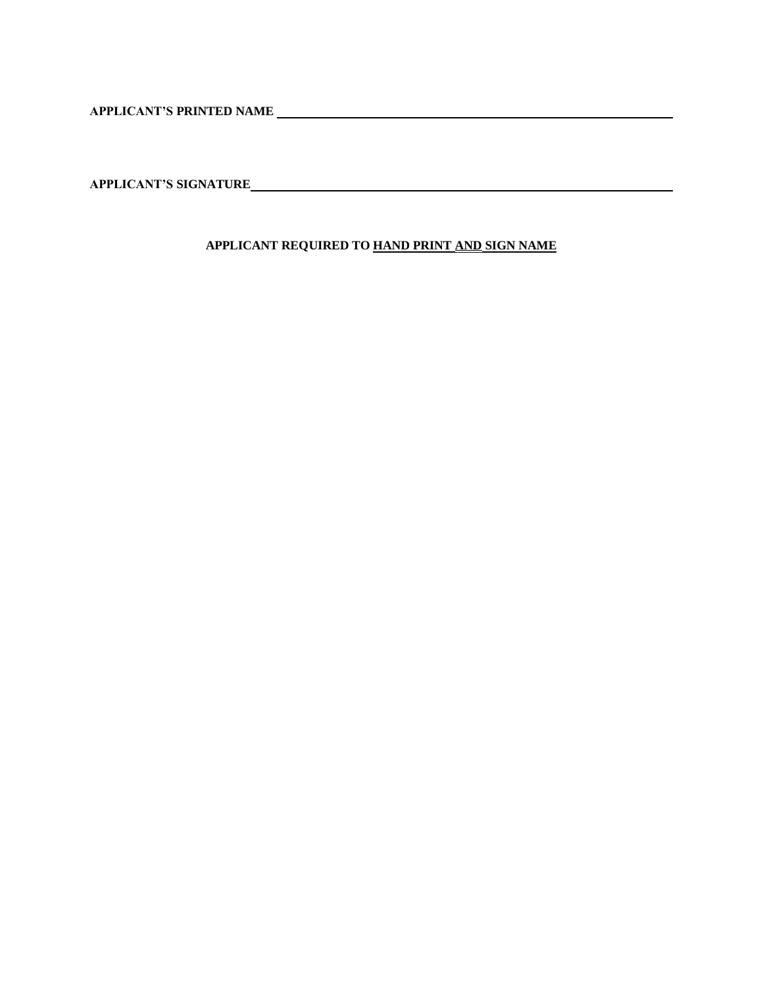**APPLICANT'S PRINTED NAME** 

**APPLICANT'S SIGNATURE**

**APPLICANT REQUIRED TO HAND PRINT AND SIGN NAME**